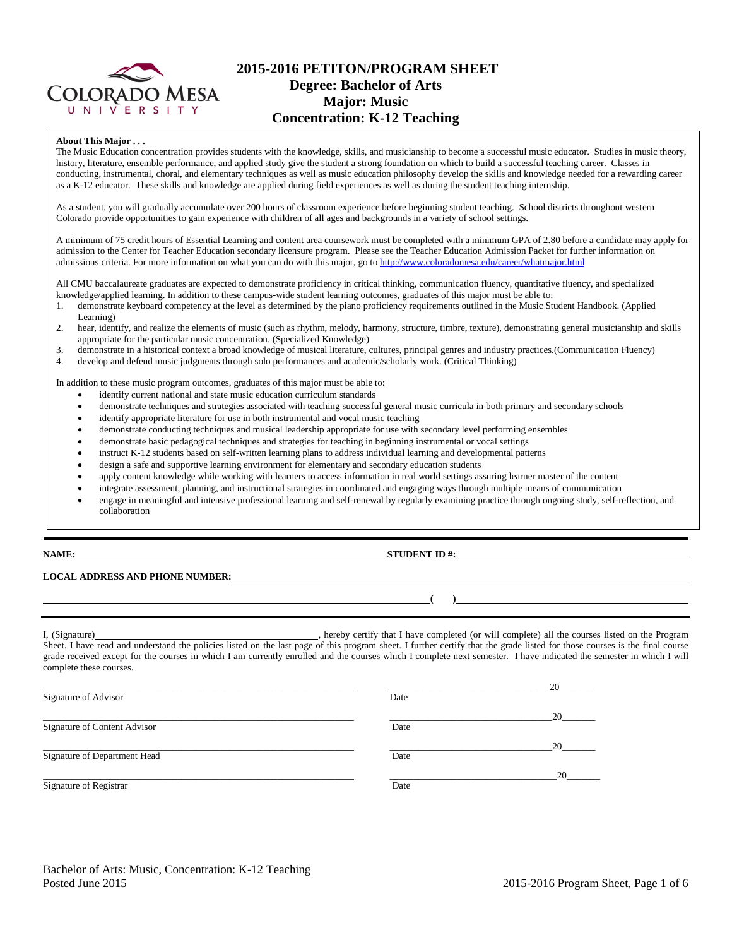

## **2015-2016 PETITON/PROGRAM SHEET Degree: Bachelor of Arts Major: Music Concentration: K-12 Teaching**

#### **About This Major . . .**

The Music Education concentration provides students with the knowledge, skills, and musicianship to become a successful music educator. Studies in music theory, history, literature, ensemble performance, and applied study give the student a strong foundation on which to build a successful teaching career. Classes in conducting, instrumental, choral, and elementary techniques as well as music education philosophy develop the skills and knowledge needed for a rewarding career as a K-12 educator. These skills and knowledge are applied during field experiences as well as during the student teaching internship.

As a student, you will gradually accumulate over 200 hours of classroom experience before beginning student teaching. School districts throughout western Colorado provide opportunities to gain experience with children of all ages and backgrounds in a variety of school settings.

A minimum of 75 credit hours of Essential Learning and content area coursework must be completed with a minimum GPA of 2.80 before a candidate may apply for admission to the Center for Teacher Education secondary licensure program. Please see the Teacher Education Admission Packet for further information on admissions criteria. For more information on what you can do with this major, go to<http://www.coloradomesa.edu/career/whatmajor.html>

All CMU baccalaureate graduates are expected to demonstrate proficiency in critical thinking, communication fluency, quantitative fluency, and specialized knowledge/applied learning. In addition to these campus-wide student learning outcomes, graduates of this major must be able to:

- 1. demonstrate keyboard competency at the level as determined by the piano proficiency requirements outlined in the Music Student Handbook. (Applied Learning)
- 2. hear, identify, and realize the elements of music (such as rhythm, melody, harmony, structure, timbre, texture), demonstrating general musicianship and skills appropriate for the particular music concentration. (Specialized Knowledge)
- 3. demonstrate in a historical context a broad knowledge of musical literature, cultures, principal genres and industry practices.(Communication Fluency)<br>4 develop and defend music judgments through solo performances and a
- develop and defend music judgments through solo performances and academic/scholarly work. (Critical Thinking)

In addition to these music program outcomes, graduates of this major must be able to:

- identify current national and state music education curriculum standards
- demonstrate techniques and strategies associated with teaching successful general music curricula in both primary and secondary schools
- identify appropriate literature for use in both instrumental and vocal music teaching
- demonstrate conducting techniques and musical leadership appropriate for use with secondary level performing ensembles
- demonstrate basic pedagogical techniques and strategies for teaching in beginning instrumental or vocal settings
- instruct K-12 students based on self-written learning plans to address individual learning and developmental patterns
- design a safe and supportive learning environment for elementary and secondary education students
- apply content knowledge while working with learners to access information in real world settings assuring learner master of the content
- integrate assessment, planning, and instructional strategies in coordinated and engaging ways through multiple means of communication
- engage in meaningful and intensive professional learning and self-renewal by regularly examining practice through ongoing study, self-reflection, and collaboration

### **NAME: STUDENT ID #:**

**( )**

# **LOCAL ADDRESS AND PHONE NUMBER:**

I, (Signature) hereby certify that I have completed (or will complete) all the courses listed on the Program Sheet. I have read and understand the policies listed on the last page of this program sheet. I further certify that the grade listed for those courses is the final course grade received except for the courses in which I am currently enrolled and the courses which I complete next semester. I have indicated the semester in which I will complete these courses.

| Signature of Advisor         | Date | 20 |
|------------------------------|------|----|
| Signature of Content Advisor | Date | 20 |
| Signature of Department Head | Date | 20 |
| Signature of Registrar       | Date | 20 |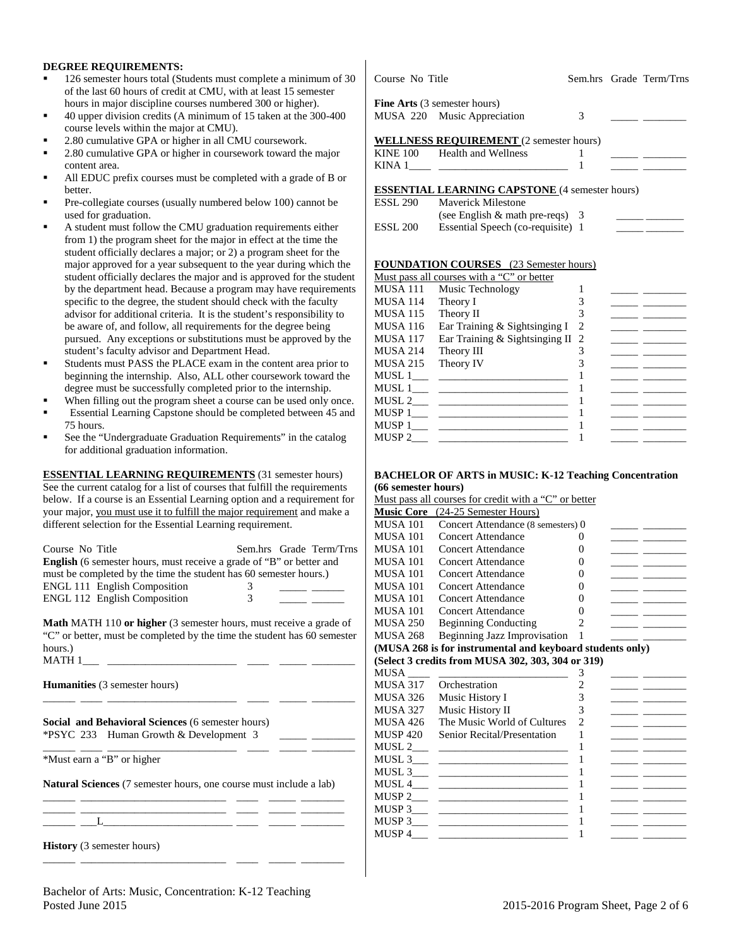### **DEGREE REQUIREMENTS:**

- 126 semester hours total (Students must complete a minimum of 30 of the last 60 hours of credit at CMU, with at least 15 semester hours in major discipline courses numbered 300 or higher).
- 40 upper division credits (A minimum of 15 taken at the 300-400 course levels within the major at CMU).
- 2.80 cumulative GPA or higher in all CMU coursework.
- 2.80 cumulative GPA or higher in coursework toward the major content area.
- All EDUC prefix courses must be completed with a grade of B or better.
- Pre-collegiate courses (usually numbered below 100) cannot be used for graduation.
- A student must follow the CMU graduation requirements either from 1) the program sheet for the major in effect at the time the student officially declares a major; or 2) a program sheet for the major approved for a year subsequent to the year during which the student officially declares the major and is approved for the student by the department head. Because a program may have requirements specific to the degree, the student should check with the faculty advisor for additional criteria. It is the student's responsibility to be aware of, and follow, all requirements for the degree being pursued. Any exceptions or substitutions must be approved by the student's faculty advisor and Department Head.
- Students must PASS the PLACE exam in the content area prior to beginning the internship. Also, ALL other coursework toward the degree must be successfully completed prior to the internship.
- When filling out the program sheet a course can be used only once.
- Essential Learning Capstone should be completed between 45 and 75 hours.
- See the "Undergraduate Graduation Requirements" in the catalog for additional graduation information.

**ESSENTIAL LEARNING REQUIREMENTS** (31 semester hours) See the current catalog for a list of courses that fulfill the requirements below. If a course is an Essential Learning option and a requirement for your major, you must use it to fulfill the major requirement and make a different selection for the Essential Learning requirement.

| Course No Title<br><b>English</b> (6 semester hours, must receive a grade of "B" or better and<br>must be completed by the time the student has 60 semester hours.)<br>ENGL 111 English Composition<br><b>ENGL 112 English Composition</b> | 3<br>3 | Sem.hrs Grade Term/Trns |  |
|--------------------------------------------------------------------------------------------------------------------------------------------------------------------------------------------------------------------------------------------|--------|-------------------------|--|
| <b>Math MATH 110 or higher</b> (3 semester hours, must receive a grade of                                                                                                                                                                  |        |                         |  |
| "C" or better, must be completed by the time the student has 60 semester                                                                                                                                                                   |        |                         |  |
| hours.)                                                                                                                                                                                                                                    |        |                         |  |
|                                                                                                                                                                                                                                            |        |                         |  |
| <b>Humanities</b> (3 semester hours)                                                                                                                                                                                                       |        |                         |  |
| <b>Social and Behavioral Sciences (6 semester hours)</b><br><b>*PSYC 233</b> Human Growth & Development 3                                                                                                                                  |        |                         |  |
| *Must earn a "B" or higher                                                                                                                                                                                                                 |        |                         |  |
| <b>Natural Sciences</b> (7 semester hours, one course must include a lab)                                                                                                                                                                  |        |                         |  |
| the control of the control of the control of the control of the control of the control of the control of the control of the control of the control of the control of the control of the control of the control of the control              |        |                         |  |
| <b>History</b> (3 semester hours)                                                                                                                                                                                                          |        |                         |  |

| Course No Title |  | Sem.hrs Grade Term/Trns |
|-----------------|--|-------------------------|
|                 |  |                         |

**Fine Arts** (3 semester hours) MUSA 220 Music Appreciation 3

|  | <b>WELLNESS REQUIREMENT</b> (2 semester hours) |
|--|------------------------------------------------|
|  |                                                |

| <b>KINE 100</b> | Health and Wellness |  |  |
|-----------------|---------------------|--|--|
| KIN A           |                     |  |  |
|                 |                     |  |  |

**ESSENTIAL LEARNING CAPSTONE** (4 semester hours)

| <b>ESSL 290</b>     | <b>Maverick Milestone</b>          |  |
|---------------------|------------------------------------|--|
|                     | (see English $\&$ math pre-reqs) 3 |  |
| ESSL <sub>200</sub> | Essential Speech (co-requisite) 1  |  |

#### **FOUNDATION COURSES** (23 Semester hours)

|          | Must pass all courses with a "C" or better |   |  |
|----------|--------------------------------------------|---|--|
| MUSA 111 | Music Technology                           |   |  |
| MUSA 114 | Theory I                                   |   |  |
| MUSA 115 | Theory II                                  |   |  |
| MUSA 116 | Ear Training & Sightsinging I              | 2 |  |
| MUSA 117 | Ear Training & Sightsinging II 2           |   |  |
| MUSA 214 | Theory III                                 |   |  |
| MUSA 215 | Theory IV                                  |   |  |
| MUSL 1   |                                            |   |  |
| MUSL 1   |                                            |   |  |
| MUSL 2   |                                            |   |  |
| MUSP 1   |                                            |   |  |
| MUSP 1   |                                            |   |  |
| MUSP 2   |                                            |   |  |
|          |                                            |   |  |

#### **BACHELOR OF ARTS in MUSIC: K-12 Teaching Concentration (66 semester hours)**

Must pass all courses for credit with a "C" or better

| <b>Music Core</b>        | (24-25 Semester Hours)                                                                                                  |                   |  |
|--------------------------|-------------------------------------------------------------------------------------------------------------------------|-------------------|--|
| <b>MUSA 101</b>          | Concert Attendance (8 semesters) 0                                                                                      |                   |  |
| <b>MUSA 101</b>          | <b>Concert Attendance</b>                                                                                               | 0                 |  |
| <b>MUSA 101</b>          | <b>Concert Attendance</b>                                                                                               | 0                 |  |
| <b>MUSA 101</b>          | Concert Attendance                                                                                                      | 0                 |  |
| <b>MUSA 101</b>          | <b>Concert Attendance</b>                                                                                               | $\mathbf{\Omega}$ |  |
| <b>MUSA 101</b>          | Concert Attendance                                                                                                      | $\mathbf{\Omega}$ |  |
| <b>MUSA 101</b>          | Concert Attendance                                                                                                      | $\theta$          |  |
| <b>MUSA 101</b>          | Concert Attendance                                                                                                      | 0                 |  |
| <b>MUSA 250</b>          | <b>Beginning Conducting</b>                                                                                             | 2                 |  |
| <b>MUSA 268</b>          | Beginning Jazz Improvisation                                                                                            | 1                 |  |
|                          | (MUSA 268 is for instrumental and keyboard students only)                                                               |                   |  |
|                          | (Select 3 credits from MUSA 302, 303, 304 or 319)                                                                       |                   |  |
| <b>MUSA</b>              |                                                                                                                         | 3                 |  |
| MUSA 317                 | Orchestration                                                                                                           | 2                 |  |
| MUSA 326                 | Music History I                                                                                                         | 3                 |  |
| <b>MUSA 327</b>          | Music History II                                                                                                        | 3                 |  |
| <b>MUSA 426</b>          | The Music World of Cultures                                                                                             | $\mathfrak{D}$    |  |
| <b>MUSP 420</b>          | Senior Recital/Presentation                                                                                             | 1                 |  |
|                          | <u> 2000 - John Stein, Amerikaansk politiker (</u>                                                                      | 1                 |  |
| MUSL 3                   | <u> 1990 - John Stein, mars and de Barbara (</u>                                                                        | 1                 |  |
| MUSL 3                   |                                                                                                                         | 1                 |  |
| MUSL 4                   | <u> 1989 - Andrea Stein, amerikansk politiker (</u>                                                                     | 1                 |  |
|                          |                                                                                                                         | 1                 |  |
| $MUSP 3$ <sub>____</sub> | <u> The Communication of the Communication of the Communication of the Communication of the Communication of the Co</u> | 1                 |  |
| MUSP 3                   | the property of the control of the control of the control of                                                            | 1                 |  |
| MUSP 4                   |                                                                                                                         | 1                 |  |

### Bachelor of Arts: Music, Concentration: K-12 Teaching Posted June 2015 2016 Program Sheet, Page 2 of 6

\_\_\_\_\_\_ \_\_\_\_\_\_\_\_\_\_\_\_\_\_\_\_\_\_\_\_\_\_\_\_\_\_\_ \_\_\_\_ \_\_\_\_\_ \_\_\_\_\_\_\_\_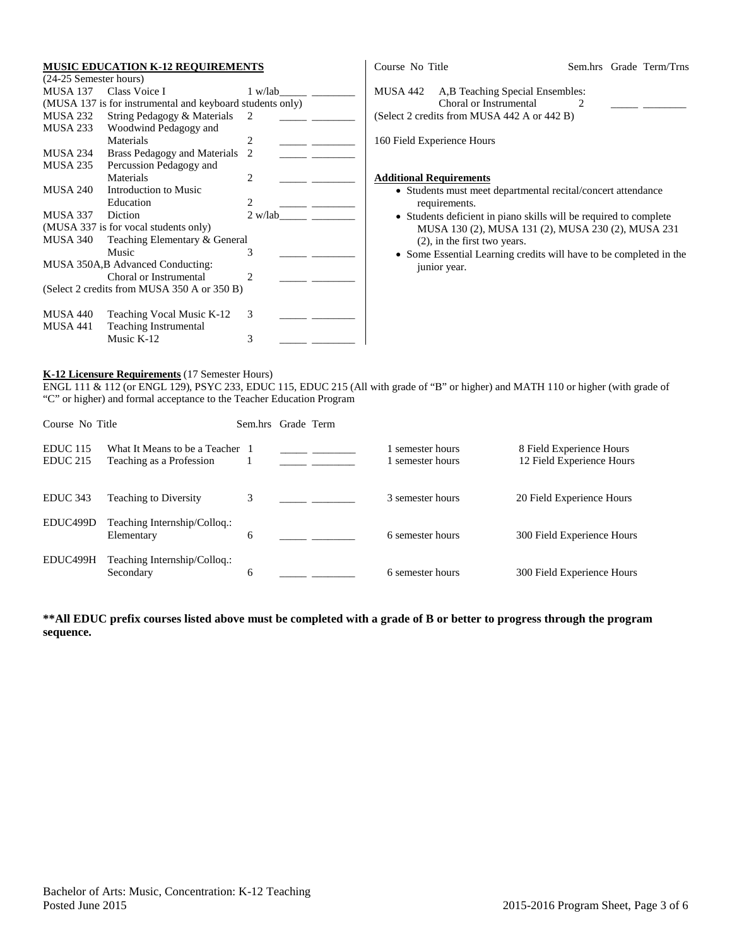#### **MUSIC EDUCATION K-12 REQUIREMENTS**

|                  | (24-25 Semester hours)                                    |                |
|------------------|-----------------------------------------------------------|----------------|
| MUSA 137         | Class Voice I                                             | 1 w/lab        |
|                  | (MUSA 137 is for instrumental and keyboard students only) |                |
| MUSA 232         | String Pedagogy & Materials                               | 2              |
| MUSA 233         | Woodwind Pedagogy and                                     |                |
|                  | Materials                                                 | 2              |
| MUSA 234         | Brass Pedagogy and Materials                              | $\mathfrak{D}$ |
| MUSA 235         | Percussion Pedagogy and                                   |                |
|                  | Materials                                                 | 2              |
| MUSA 240         | Introduction to Music                                     |                |
|                  | Education                                                 | $\mathfrak{D}$ |
| MUSA 337 Diction |                                                           | 2 w/lab        |
|                  | (MUSA 337 is for vocal students only)                     |                |
|                  |                                                           |                |
| <b>MUSA 340</b>  | Teaching Elementary & General                             |                |
|                  | Music                                                     | 3              |
|                  | MUSA 350A, B Advanced Conducting:                         |                |
|                  | Choral or Instrumental                                    | $\mathfrak{D}$ |
|                  | (Select 2 credits from MUSA 350 A or 350 B)               |                |
| MUSA 440         |                                                           | 3              |
| MUSA 441         | Teaching Vocal Music K-12<br><b>Teaching Instrumental</b> |                |

| Course No Title                                                                                                       |  | Sem.hrs Grade Term/Trns |
|-----------------------------------------------------------------------------------------------------------------------|--|-------------------------|
| A, B Teaching Special Ensembles:<br>MUSA 442<br>Choral or Instrumental<br>(Select 2 credits from MUSA 442 A or 442 B) |  |                         |
| 160 Field Experience Hours                                                                                            |  |                         |
| <b>Additional Requirements</b>                                                                                        |  |                         |

- Students must meet departmental recital/concert attendance requirements.
- Students deficient in piano skills will be required to complete MUSA 130 (2), MUSA 131 (2), MUSA 230 (2), MUSA 231 (2), in the first two years.
- Some Essential Learning credits will have to be completed in the junior year.

## **K-12 Licensure Requirements** (17 Semester Hours)

ENGL 111 & 112 (or ENGL 129), PSYC 233, EDUC 115, EDUC 215 (All with grade of "B" or higher) and MATH 110 or higher (with grade of "C" or higher) and formal acceptance to the Teacher Education Program

| Course No Title                    |                                                             | Sem.hrs | Grade Term |                                  |                                                       |
|------------------------------------|-------------------------------------------------------------|---------|------------|----------------------------------|-------------------------------------------------------|
| <b>EDUC</b> 115<br><b>EDUC 215</b> | What It Means to be a Teacher 1<br>Teaching as a Profession |         |            | semester hours<br>semester hours | 8 Field Experience Hours<br>12 Field Experience Hours |
| <b>EDUC</b> 343                    | <b>Teaching to Diversity</b>                                | 3       |            | 3 semester hours                 | 20 Field Experience Hours                             |
| EDUC499D                           | Teaching Internship/Colloq.:<br>Elementary                  | 6       |            | 6 semester hours                 | 300 Field Experience Hours                            |
| EDUC499H                           | Teaching Internship/Colloq.:<br>Secondary                   | 6       |            | 6 semester hours                 | 300 Field Experience Hours                            |

## **\*\*All EDUC prefix courses listed above must be completed with a grade of B or better to progress through the program sequence.**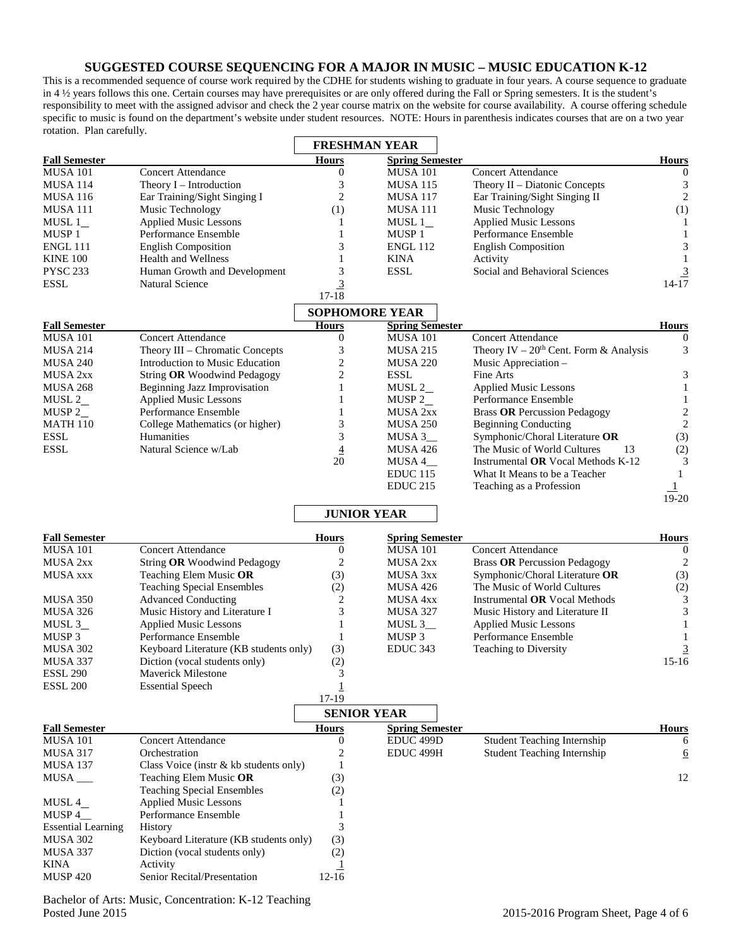## **SUGGESTED COURSE SEQUENCING FOR A MAJOR IN MUSIC – MUSIC EDUCATION K-12**

This is a recommended sequence of course work required by the CDHE for students wishing to graduate in four years. A course sequence to graduate in 4 ½ years follows this one. Certain courses may have prerequisites or are only offered during the Fall or Spring semesters. It is the student's responsibility to meet with the assigned advisor and check the 2 year course matrix on the website for course availability. A course offering schedule specific to music is found on the department's website under student resources. NOTE: Hours in parenthesis indicates courses that are on a two year rotation. Plan carefully.

|                                         |                                                   | <b>FRESHMAN YEAR</b>  |                                           |                                          |                   |
|-----------------------------------------|---------------------------------------------------|-----------------------|-------------------------------------------|------------------------------------------|-------------------|
| <b>Fall Semester</b>                    |                                                   | <b>Hours</b>          | <b>Spring Semester</b>                    |                                          | <b>Hours</b>      |
| <b>MUSA 101</b>                         | <b>Concert Attendance</b>                         | $\Omega$              | <b>MUSA 101</b>                           | <b>Concert Attendance</b>                | $\Omega$          |
| <b>MUSA 114</b>                         | Theory $I$ – Introduction                         | 3                     | <b>MUSA 115</b>                           | Theory II - Diatonic Concepts            |                   |
| <b>MUSA 116</b>                         | Ear Training/Sight Singing I                      | 2                     | <b>MUSA 117</b>                           | Ear Training/Sight Singing II            | $\overline{2}$    |
| <b>MUSA 111</b>                         | Music Technology                                  | (1)                   | <b>MUSA 111</b>                           | Music Technology                         | (1)               |
| MUSL $1$ <sub><math>-</math></sub>      | <b>Applied Music Lessons</b>                      |                       | MUSL $1$ <sub><math>-</math></sub>        | <b>Applied Music Lessons</b>             |                   |
| MUSP 1                                  | Performance Ensemble                              |                       | MUSP 1                                    | Performance Ensemble                     |                   |
| <b>ENGL 111</b>                         | <b>English Composition</b>                        | 3                     | <b>ENGL 112</b>                           | <b>English Composition</b>               |                   |
| <b>KINE 100</b>                         | Health and Wellness                               |                       | <b>KINA</b>                               | Activity                                 |                   |
| <b>PYSC 233</b>                         | Human Growth and Development                      | 3                     | <b>ESSL</b>                               | Social and Behavioral Sciences           |                   |
| ESSL                                    | Natural Science                                   |                       |                                           |                                          | $\frac{3}{14-17}$ |
|                                         |                                                   | $17 - 18$             |                                           |                                          |                   |
|                                         |                                                   | <b>SOPHOMORE YEAR</b> |                                           |                                          |                   |
| <b>Fall Semester</b>                    |                                                   | <b>Hours</b>          | <b>Spring Semester</b>                    |                                          | <b>Hours</b>      |
| $\overline{\text{MUSA}}$ 101            | <b>Concert Attendance</b>                         | $\mathbf{0}$          | <b>MUSA 101</b>                           | <b>Concert Attendance</b>                | $\Omega$          |
| <b>MUSA 214</b>                         | Theory III - Chromatic Concepts                   | 3                     | <b>MUSA 215</b>                           | Theory IV – $20th$ Cent. Form & Analysis | 3                 |
| <b>MUSA 240</b>                         | Introduction to Music Education                   | 2                     | <b>MUSA 220</b>                           | Music Appreciation -                     |                   |
| MUSA 2xx                                | String OR Woodwind Pedagogy                       | 2                     | <b>ESSL</b>                               | Fine Arts                                | 3                 |
| <b>MUSA 268</b>                         | Beginning Jazz Improvisation                      |                       | MUSL $2$                                  | <b>Applied Music Lessons</b>             |                   |
| MUSL $2$                                | <b>Applied Music Lessons</b>                      |                       | MUSP $2$                                  | Performance Ensemble                     |                   |
|                                         |                                                   |                       |                                           |                                          |                   |
| MUSP <sub>2</sub>                       | Performance Ensemble                              |                       | MUSA 2xx                                  | <b>Brass OR Percussion Pedagogy</b>      |                   |
| <b>MATH 110</b>                         | College Mathematics (or higher)                   |                       | <b>MUSA 250</b>                           | <b>Beginning Conducting</b>              |                   |
| <b>ESSL</b>                             | Humanities                                        | 3                     | $MUSA$ 3 $\_$                             | Symphonic/Choral Literature OR           | (3)               |
| <b>ESSL</b>                             | Natural Science w/Lab                             | $\overline{4}$        | MUSA 426                                  | The Music of World Cultures<br>13        | (2)               |
|                                         |                                                   | 20                    | $MUSA 4$ <sub>—</sub>                     | Instrumental OR Vocal Methods K-12       | 3                 |
|                                         |                                                   |                       | <b>EDUC 115</b>                           | What It Means to be a Teacher            |                   |
|                                         |                                                   |                       | <b>EDUC 215</b>                           | Teaching as a Profession                 |                   |
|                                         |                                                   |                       |                                           |                                          | $19-20$           |
|                                         |                                                   | <b>JUNIOR YEAR</b>    |                                           |                                          |                   |
|                                         |                                                   |                       |                                           |                                          |                   |
| <b>Fall Semester</b><br><b>MUSA 101</b> |                                                   | Hours                 | <b>Spring Semester</b><br><b>MUSA 101</b> |                                          | <b>Hours</b>      |
|                                         | <b>Concert Attendance</b>                         | $\bf{0}$              |                                           | <b>Concert Attendance</b>                | $\Omega$          |
| MUSA 2xx                                | String OR Woodwind Pedagogy                       | 2                     | MUSA 2xx                                  | <b>Brass OR Percussion Pedagogy</b>      |                   |
| MUSA xxx                                | Teaching Elem Music OR                            | (3)                   | MUSA 3xx                                  | Symphonic/Choral Literature OR           | (3)               |
|                                         | <b>Teaching Special Ensembles</b>                 | (2)                   | MUSA 426                                  | The Music of World Cultures              | (2)               |
| <b>MUSA 350</b>                         | <b>Advanced Conducting</b>                        | 2                     | MUSA 4xx                                  | Instrumental OR Vocal Methods            | 3                 |
| MUSA 326                                | Music History and Literature I                    | 3                     | <b>MUSA 327</b>                           | Music History and Literature II          |                   |
| MUSL $3$                                | <b>Applied Music Lessons</b>                      |                       | MUSL 3                                    | <b>Applied Music Lessons</b>             |                   |
| MUSP 3                                  | Performance Ensemble                              |                       | MUSP 3                                    | Performance Ensemble                     |                   |
| <b>MUSA 302</b>                         | Keyboard Literature (KB students only)            | (3)                   | EDUC 343                                  | Teaching to Diversity                    |                   |
| MUSA 337                                | Diction (vocal students only)                     | (2)                   |                                           |                                          | $15-16$           |
| <b>ESSL 290</b>                         | <b>Maverick Milestone</b>                         | 3                     |                                           |                                          |                   |
|                                         |                                                   |                       |                                           |                                          |                   |
| <b>ESSL 200</b>                         | <b>Essential Speech</b>                           | <u>1</u>              |                                           |                                          |                   |
|                                         |                                                   | 17-19                 |                                           |                                          |                   |
|                                         |                                                   | <b>SENIOR YEAR</b>    |                                           |                                          |                   |
| <b>Fall Semester</b>                    |                                                   | <b>Hours</b>          | <b>Spring Semester</b>                    |                                          | <b>Hours</b>      |
| <b>MUSA 101</b>                         | <b>Concert Attendance</b>                         | 0                     | EDUC <sub>499D</sub>                      | Student Teaching Internship              | 6                 |
| <b>MUSA 317</b>                         | Orchestration                                     |                       | EDUC 499H                                 | <b>Student Teaching Internship</b>       | $\overline{6}$    |
| <b>MUSA 137</b>                         | Class Voice (instr & kb students only)            |                       |                                           |                                          |                   |
| $MUSA$ <sub>—</sub>                     | Teaching Elem Music OR                            | (3)                   |                                           |                                          | 12                |
|                                         | <b>Teaching Special Ensembles</b>                 | (2)                   |                                           |                                          |                   |
| MUSL $4$                                | <b>Applied Music Lessons</b>                      |                       |                                           |                                          |                   |
| MUSP $4$ <sub>__</sub>                  | Performance Ensemble                              |                       |                                           |                                          |                   |
| <b>Essential Learning</b>               |                                                   |                       |                                           |                                          |                   |
|                                         | History<br>Keyboard Literature (KB students only) | (3)                   |                                           |                                          |                   |
| <b>MUSA 302</b>                         |                                                   |                       |                                           |                                          |                   |
|                                         |                                                   |                       |                                           |                                          |                   |
| MUSA 337                                | Diction (vocal students only)                     | (2)                   |                                           |                                          |                   |
| <b>KINA</b><br><b>MUSP 420</b>          | Activity<br>Senior Recital/Presentation           | $12-16$               |                                           |                                          |                   |

Bachelor of Arts: Music, Concentration: K-12 Teaching Posted June 2015 2015-2016 Program Sheet, Page 4 of 6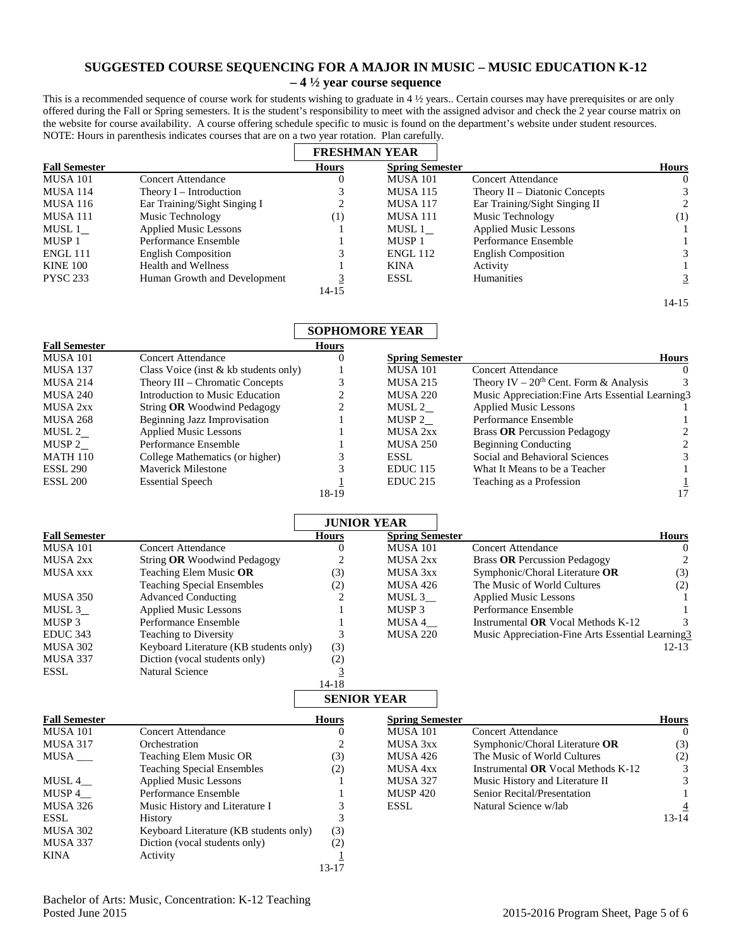## **SUGGESTED COURSE SEQUENCING FOR A MAJOR IN MUSIC – MUSIC EDUCATION K-12 – 4 ½ year course sequence**

This is a recommended sequence of course work for students wishing to graduate in 4 ½ years.. Certain courses may have prerequisites or are only offered during the Fall or Spring semesters. It is the student's responsibility to meet with the assigned advisor and check the 2 year course matrix on the website for course availability. A course offering schedule specific to music is found on the department's website under student resources. NOTE: Hours in parenthesis indicates courses that are on a two year rotation. Plan carefully.

|                      |                              |                  | <b>FRESHMAN YEAR</b>   |                                 |              |
|----------------------|------------------------------|------------------|------------------------|---------------------------------|--------------|
| <b>Fall Semester</b> |                              | <b>Hours</b>     | <b>Spring Semester</b> |                                 | <b>Hours</b> |
| <b>MUSA 101</b>      | Concert Attendance           | 0                | <b>MUSA 101</b>        | Concert Attendance              | $\theta$     |
| <b>MUSA 114</b>      | Theory $I$ – Introduction    |                  | <b>MUSA 115</b>        | Theory $II$ – Diatonic Concepts |              |
| <b>MUSA 116</b>      | Ear Training/Sight Singing I | ↑                | <b>MUSA 117</b>        | Ear Training/Sight Singing II   | 2            |
| <b>MUSA 111</b>      | Music Technology             | $\left(1\right)$ | <b>MUSA 111</b>        | Music Technology                | (1)          |
| MUSL 1               | <b>Applied Music Lessons</b> |                  | MUSL 1                 | <b>Applied Music Lessons</b>    |              |
| MUSP <sub>1</sub>    | Performance Ensemble         |                  | MUSP <sub>1</sub>      | Performance Ensemble            |              |
| <b>ENGL 111</b>      | <b>English Composition</b>   |                  | <b>ENGL 112</b>        | <b>English Composition</b>      |              |
| <b>KINE 100</b>      | Health and Wellness          |                  | <b>KINA</b>            | Activity                        |              |
| <b>PYSC 233</b>      | Human Growth and Development | 3                | <b>ESSL</b>            | <b>Humanities</b>               | 3            |
|                      |                              | 14-15            |                        |                                 |              |
|                      |                              |                  |                        |                                 | $14 - 15$    |

## **SOPHOMORE YEAR**

| <b>Fall Semester</b> |                                         | <b>Hours</b> |                        |                                                   |              |
|----------------------|-----------------------------------------|--------------|------------------------|---------------------------------------------------|--------------|
| <b>MUSA 101</b>      | Concert Attendance                      | v            | <b>Spring Semester</b> |                                                   | <b>Hours</b> |
| <b>MUSA 137</b>      | Class Voice (inst $& kb$ students only) |              | <b>MUSA 101</b>        | Concert Attendance                                |              |
| <b>MUSA 214</b>      | Theory III – Chromatic Concepts         | 3            | <b>MUSA 215</b>        | Theory IV – $20th$ Cent. Form & Analysis          |              |
| <b>MUSA 240</b>      | Introduction to Music Education         |              | <b>MUSA 220</b>        | Music Appreciation: Fine Arts Essential Learning3 |              |
| MUSA 2xx             | String OR Woodwind Pedagogy             |              | MUSL 2                 | <b>Applied Music Lessons</b>                      |              |
| <b>MUSA 268</b>      | Beginning Jazz Improvisation            |              | MUSP 2                 | Performance Ensemble                              |              |
| MUSL 2               | <b>Applied Music Lessons</b>            |              | MUSA 2xx               | <b>Brass OR Percussion Pedagogy</b>               |              |
| MUSP 2               | Performance Ensemble                    |              | <b>MUSA 250</b>        | <b>Beginning Conducting</b>                       |              |
| <b>MATH 110</b>      | College Mathematics (or higher)         |              | ESSL                   | Social and Behavioral Sciences                    |              |
| <b>ESSL 290</b>      | <b>Maverick Milestone</b>               |              | EDUC <sub>115</sub>    | What It Means to be a Teacher                     |              |
| <b>ESSL 200</b>      | <b>Essential Speech</b>                 |              | <b>EDUC 215</b>        | Teaching as a Profession                          |              |
|                      |                                         | 18-19        |                        |                                                   |              |

|                      |                                        |              | <b>JUNIOR YEAR</b>     |                                                  |              |
|----------------------|----------------------------------------|--------------|------------------------|--------------------------------------------------|--------------|
| <b>Fall Semester</b> |                                        | <b>Hours</b> | <b>Spring Semester</b> |                                                  | <b>Hours</b> |
| <b>MUSA 101</b>      | Concert Attendance                     |              | <b>MUSA 101</b>        | Concert Attendance                               | 0            |
| <b>MUSA 2xx</b>      | String OR Woodwind Pedagogy            |              | <b>MUSA 2xx</b>        | <b>Brass OR Percussion Pedagogy</b>              |              |
| <b>MUSA xxx</b>      | Teaching Elem Music OR                 | (3)          | MUSA 3xx               | Symphonic/Choral Literature OR                   | (3)          |
|                      | <b>Teaching Special Ensembles</b>      | $\rm(2)$     | <b>MUSA 426</b>        | The Music of World Cultures                      | (2)          |
| <b>MUSA 350</b>      | <b>Advanced Conducting</b>             |              | MUSL 3                 | <b>Applied Music Lessons</b>                     |              |
| MUSL 3               | <b>Applied Music Lessons</b>           |              | MUSP <sub>3</sub>      | Performance Ensemble                             |              |
| MUSP <sub>3</sub>    | Performance Ensemble                   |              | MUSA 4                 | Instrumental $OR$ Vocal Methods $K-12$           |              |
| EDUC <sub>343</sub>  | <b>Teaching to Diversity</b>           |              | <b>MUSA 220</b>        | Music Appreciation-Fine Arts Essential Learning3 |              |
| <b>MUSA 302</b>      | Keyboard Literature (KB students only) | (3)          |                        |                                                  | $12 - 13$    |
| <b>MUSA 337</b>      | Diction (vocal students only)          | (2)          |                        |                                                  |              |
| <b>ESSL</b>          | <b>Natural Science</b>                 |              |                        |                                                  |              |
|                      |                                        | $14-18$      |                        |                                                  |              |
|                      |                                        |              | <b>SENIOR YEAR</b>     |                                                  |              |
| <b>Fall Semester</b> |                                        | <b>Hours</b> | <b>Spring Semester</b> |                                                  | <b>Hours</b> |
| <b>MUSA 101</b>      | <b>Concert Attendance</b>              |              | <b>MUSA 101</b>        | Concert Attendance                               | $\Omega$     |
| <b>MUSA 317</b>      | Orchestration                          |              | MUSA 3xx               | Symphonic/Choral Literature OR                   | (3)          |
| MUSA                 | <b>Teaching Elem Music OR</b>          | (3)          | <b>MUSA 426</b>        | The Music of World Cultures                      | (2)          |
|                      | <b>Teaching Special Ensembles</b>      | (2)          | MUSA 4xx               | Instrumental OR Vocal Methods $K-12$             | 3            |

|                 |                                        |                        |                            |                                           | (2)                         |
|-----------------|----------------------------------------|------------------------|----------------------------|-------------------------------------------|-----------------------------|
|                 | <b>Teaching Special Ensembles</b>      | (2)                    | MUSA 4xx                   | Instrumental <b>OR</b> Vocal Methods K-12 |                             |
| MUSL 4          | <b>Applied Music Lessons</b>           |                        | <b>MUSA 327</b>            | Music History and Literature II           | 3                           |
| MUSP 4          | Performance Ensemble                   |                        | <b>MUSP 420</b>            | Senior Recital/Presentation               |                             |
| <b>MUSA 326</b> | Music History and Literature I         |                        | ESSL                       | Natural Science w/lab                     |                             |
| <b>ESSL</b>     | History                                |                        |                            |                                           | 13-14                       |
| <b>MUSA 302</b> | Keyboard Literature (KB students only) | (3)                    |                            |                                           |                             |
| <b>MUSA 337</b> | Diction (vocal students only)          | (2)                    |                            |                                           |                             |
| <b>KINA</b>     | Activity                               |                        |                            |                                           |                             |
|                 |                                        |                        |                            |                                           |                             |
|                 | MUSA                                   | Teaching Elem Music OR | $\left( 3\right)$<br>13-17 | MUSA 426                                  | The Music of World Cultures |